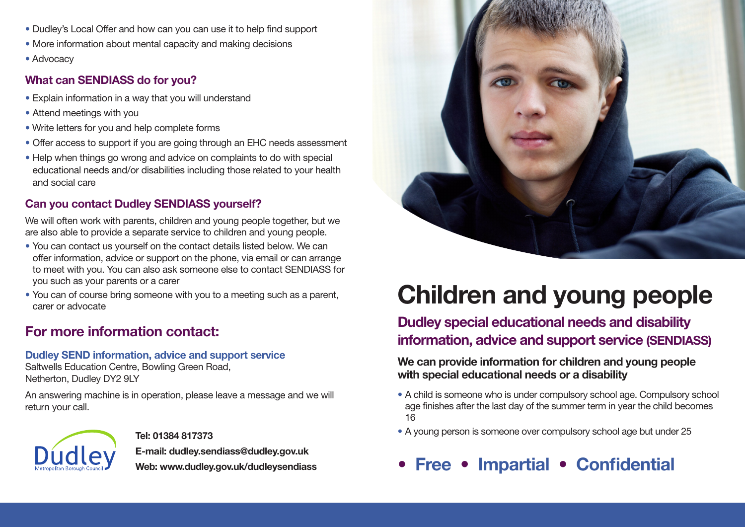- Dudley's Local Offer and how can you can use it to help find support
- More information about mental capacity and making decisions
- Advocacy

## **What can SENDIASS do for you?**

- Explain information in a way that you will understand
- Attend meetings with you
- Write letters for you and help complete forms
- Offer access to support if you are going through an EHC needs assessment
- Help when things go wrong and advice on complaints to do with special educational needs and/or disabilities including those related to your health and social care

## **Can you contact Dudley SENDIASS yourself?**

We will often work with parents, children and young people together, but we are also able to provide a separate service to children and young people.

- You can contact us yourself on the contact details listed below. We can offer information, advice or support on the phone, via email or can arrange to meet with you. You can also ask someone else to contact SENDIASS for you such as your parents or a carer
- You can of course bring someone with you to a meeting such as a parent, carer or advocate

# **For more information contact:**

### **Dudley SEND information, advice and support service**

Saltwells Education Centre, Bowling Green Road, Netherton, Dudley DY2 9LY

An answering machine is in operation, please leave a message and we will return your call.



**Tel: 01384 817373 E-mail: dudley.sendiass@dudley.gov.uk Web: www.dudley.gov.uk/dudleysendiass**



# **Children and young people**

# **Dudley special educational needs and disability information, advice and support service (SENDIASS)**

### **We can provide information for children and young people with special educational needs or a disability**

- **•** A child is someone who is under compulsory school age. Compulsory school age finishes after the last day of the summer term in year the child becomes 16
- **•** A young person is someone over compulsory school age but under 25